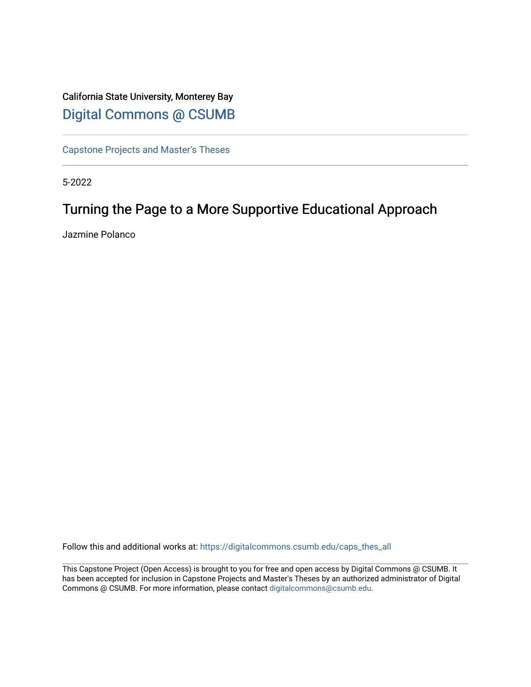# California State University, Monterey Bay [Digital Commons @ CSUMB](https://digitalcommons.csumb.edu/)

[Capstone Projects and Master's Theses](https://digitalcommons.csumb.edu/caps_thes_all)

5-2022

# Turning the Page to a More Supportive Educational Approach

Jazmine Polanco

Follow this and additional works at: [https://digitalcommons.csumb.edu/caps\\_thes\\_all](https://digitalcommons.csumb.edu/caps_thes_all?utm_source=digitalcommons.csumb.edu%2Fcaps_thes_all%2F1290&utm_medium=PDF&utm_campaign=PDFCoverPages)

This Capstone Project (Open Access) is brought to you for free and open access by Digital Commons @ CSUMB. It has been accepted for inclusion in Capstone Projects and Master's Theses by an authorized administrator of Digital Commons @ CSUMB. For more information, please contact [digitalcommons@csumb.edu](mailto:digitalcommons@csumb.edu).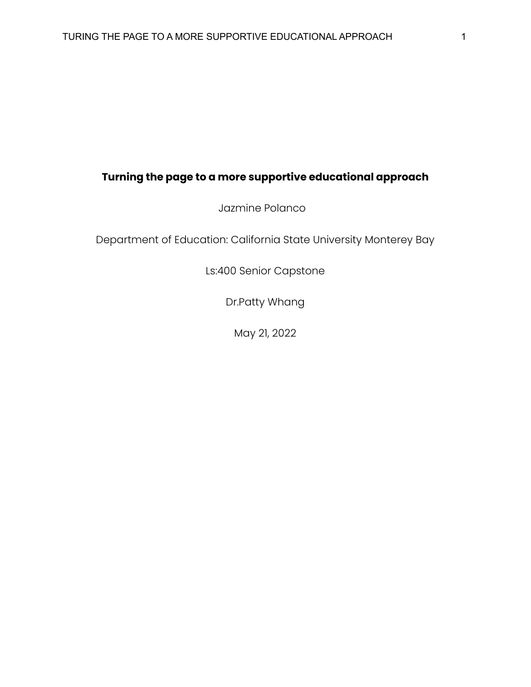# **Turning the page to a more supportive educational approach**

Jazmine Polanco

Department of Education: California State University Monterey Bay

Ls:400 Senior Capstone

Dr.Patty Whang

May 21, 2022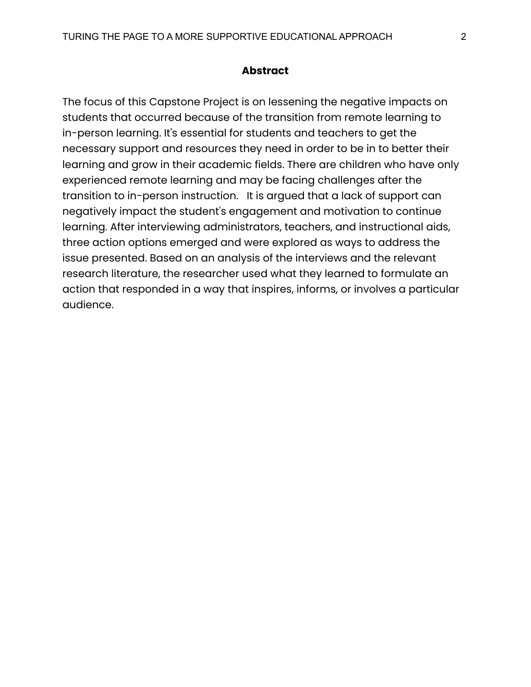#### **Abstract**

The focus of this Capstone Project is on lessening the negative impacts on students that occurred because of the transition from remote learning to in-person learning. It's essential for students and teachers to get the necessary support and resources they need in order to be in to better their learning and grow in their academic fields. There are children who have only experienced remote learning and may be facing challenges after the transition to in-person instruction. It is argued that a lack of support can negatively impact the student's engagement and motivation to continue learning. After interviewing administrators, teachers, and instructional aids, three action options emerged and were explored as ways to address the issue presented. Based on an analysis of the interviews and the relevant research literature, the researcher used what they learned to formulate an action that responded in a way that inspires, informs, or involves a particular audience.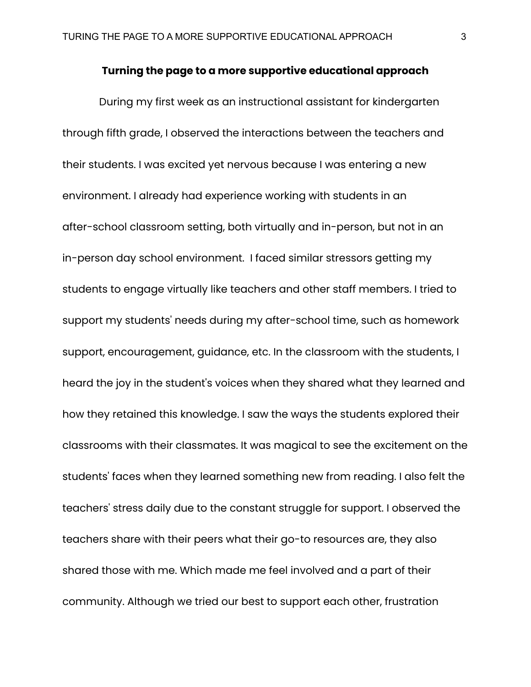#### **Turning the page to a more supportive educational approach**

During my first week as an instructional assistant for kindergarten through fifth grade, I observed the interactions between the teachers and their students. I was excited yet nervous because I was entering a new environment. I already had experience working with students in an after-school classroom setting, both virtually and in-person, but not in an in-person day school environment. I faced similar stressors getting my students to engage virtually like teachers and other staff members. I tried to support my students' needs during my after-school time, such as homework support, encouragement, guidance, etc. In the classroom with the students, I heard the joy in the student's voices when they shared what they learned and how they retained this knowledge. I saw the ways the students explored their classrooms with their classmates. It was magical to see the excitement on the students' faces when they learned something new from reading. I also felt the teachers' stress daily due to the constant struggle for support. I observed the teachers share with their peers what their go-to resources are, they also shared those with me. Which made me feel involved and a part of their community. Although we tried our best to support each other, frustration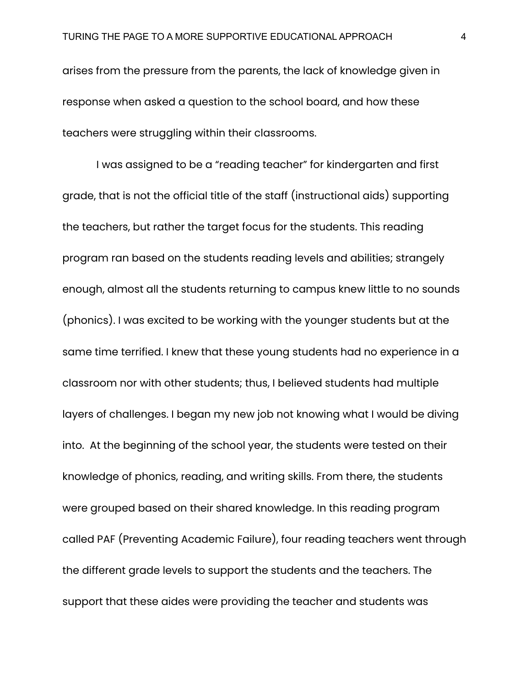arises from the pressure from the parents, the lack of knowledge given in response when asked a question to the school board, and how these teachers were struggling within their classrooms.

I was assigned to be a "reading teacher" for kindergarten and first grade, that is not the official title of the staff (instructional aids) supporting the teachers, but rather the target focus for the students. This reading program ran based on the students reading levels and abilities; strangely enough, almost all the students returning to campus knew little to no sounds (phonics). I was excited to be working with the younger students but at the same time terrified. I knew that these young students had no experience in a classroom nor with other students; thus, I believed students had multiple layers of challenges. I began my new job not knowing what I would be diving into. At the beginning of the school year, the students were tested on their knowledge of phonics, reading, and writing skills. From there, the students were grouped based on their shared knowledge. In this reading program called PAF (Preventing Academic Failure), four reading teachers went through the different grade levels to support the students and the teachers. The support that these aides were providing the teacher and students was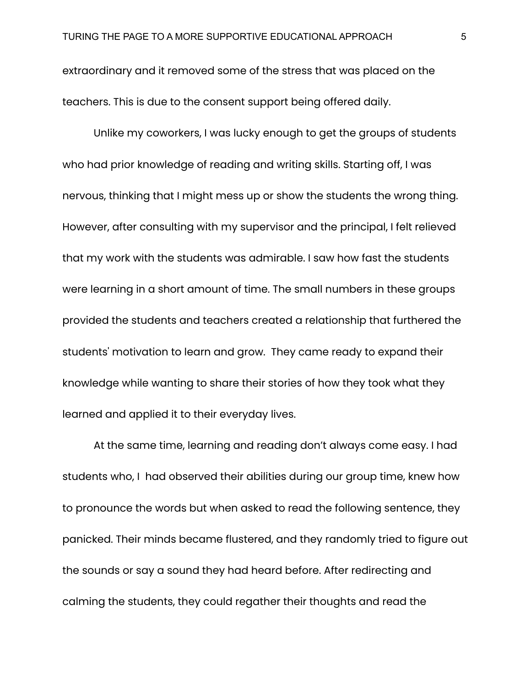extraordinary and it removed some of the stress that was placed on the teachers. This is due to the consent support being offered daily.

Unlike my coworkers, I was lucky enough to get the groups of students who had prior knowledge of reading and writing skills. Starting off, I was nervous, thinking that I might mess up or show the students the wrong thing. However, after consulting with my supervisor and the principal, I felt relieved that my work with the students was admirable. I saw how fast the students were learning in a short amount of time. The small numbers in these groups provided the students and teachers created a relationship that furthered the students' motivation to learn and grow. They came ready to expand their knowledge while wanting to share their stories of how they took what they learned and applied it to their everyday lives.

At the same time, learning and reading don't always come easy. I had students who, I had observed their abilities during our group time, knew how to pronounce the words but when asked to read the following sentence, they panicked. Their minds became flustered, and they randomly tried to figure out the sounds or say a sound they had heard before. After redirecting and calming the students, they could regather their thoughts and read the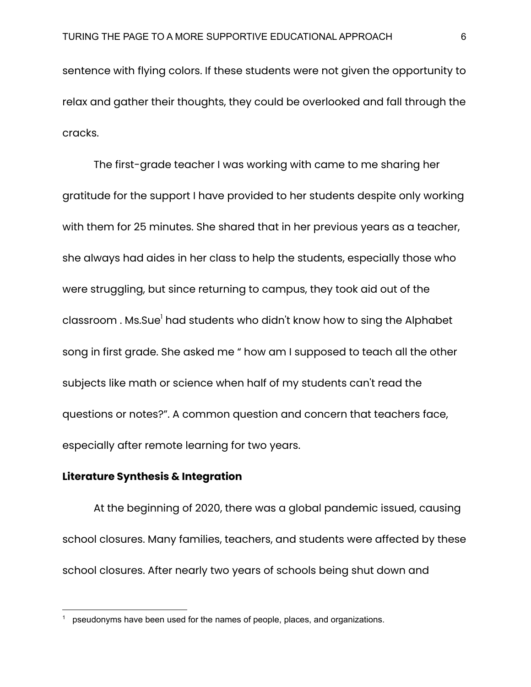sentence with flying colors. If these students were not given the opportunity to relax and gather their thoughts, they could be overlooked and fall through the cracks.

The first-grade teacher I was working with came to me sharing her gratitude for the support I have provided to her students despite only working with them for 25 minutes. She shared that in her previous years as a teacher, she always had aides in her class to help the students, especially those who were struggling, but since returning to campus, they took aid out of the classroom . Ms.Sue<sup>l</sup> had students who didn't know how to sing the Alphabet song in first grade. She asked me " how am I supposed to teach all the other subjects like math or science when half of my students can't read the questions or notes?". A common question and concern that teachers face, especially after remote learning for two years.

#### **Literature Synthesis & Integration**

At the beginning of 2020, there was a global pandemic issued, causing school closures. Many families, teachers, and students were affected by these school closures. After nearly two years of schools being shut down and

pseudonyms have been used for the names of people, places, and organizations.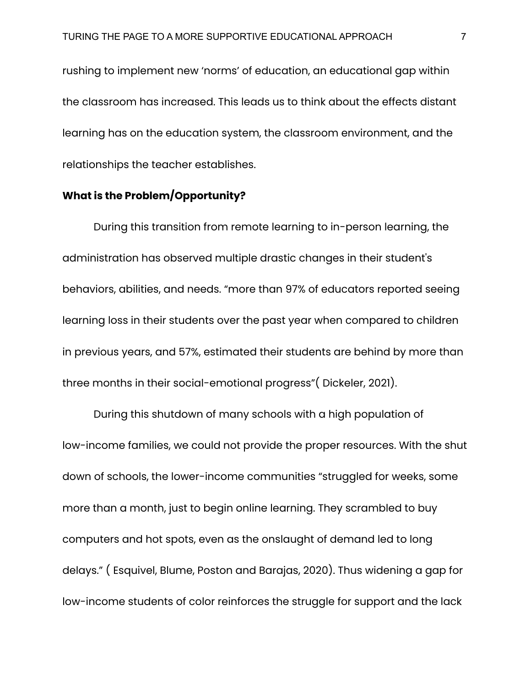rushing to implement new 'norms' of education, an educational gap within the classroom has increased. This leads us to think about the effects distant learning has on the education system, the classroom environment, and the relationships the teacher establishes.

## **What is the Problem/Opportunity?**

During this transition from remote learning to in-person learning, the administration has observed multiple drastic changes in their student's behaviors, abilities, and needs. "more than 97% of educators reported seeing learning loss in their students over the past year when compared to children in previous years, and 57%, estimated their students are behind by more than three months in their social-emotional progress"( Dickeler, 2021).

During this shutdown of many schools with a high population of low-income families, we could not provide the proper resources. With the shut down of schools, the lower-income communities "struggled for weeks, some more than a month, just to begin online learning. They scrambled to buy computers and hot spots, even as the onslaught of demand led to long delays." ( Esquivel, Blume, Poston and Barajas, 2020). Thus widening a gap for low-income students of color reinforces the struggle for support and the lack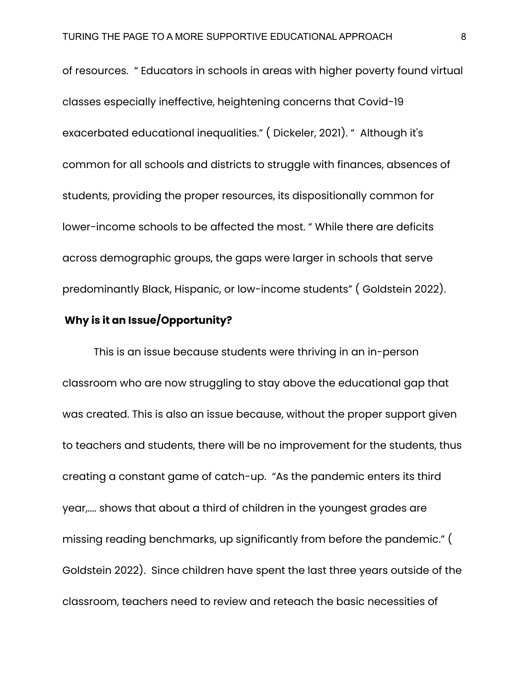of resources. " Educators in schools in areas with higher poverty found virtual classes especially ineffective, heightening concerns that Covid-19 exacerbated educational inequalities." ( Dickeler, 2021). " Although it's common for all schools and districts to struggle with finances, absences of students, providing the proper resources, its dispositionally common for lower-income schools to be affected the most. " While there are deficits across demographic groups, the gaps were larger in schools that serve predominantly Black, Hispanic, or low-income students" ( Goldstein 2022).

## **Why is it an Issue/Opportunity?**

This is an issue because students were thriving in an in-person classroom who are now struggling to stay above the educational gap that was created. This is also an issue because, without the proper support given to teachers and students, there will be no improvement for the students, thus creating a constant game of catch-up. "As the pandemic enters its third year,.... shows that about a third of children in the youngest grades are missing reading benchmarks, up significantly from before the pandemic." ( Goldstein 2022). Since children have spent the last three years outside of the classroom, teachers need to review and reteach the basic necessities of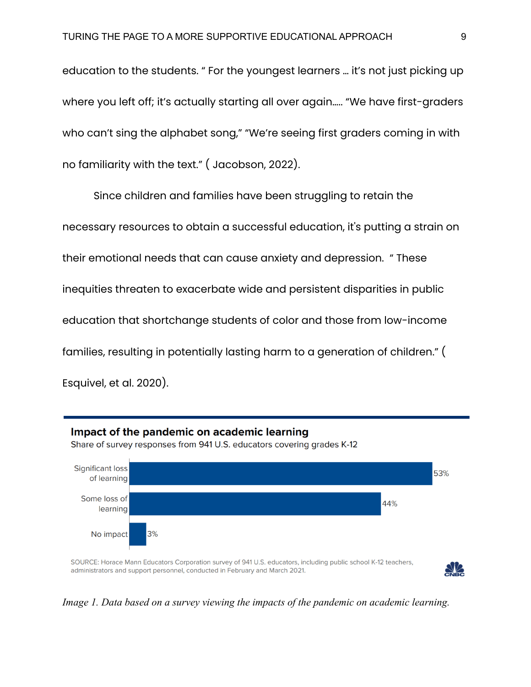education to the students. " For the youngest learners … it's not just picking up where you left off; it's actually starting all over again..... "We have first-graders who can't sing the alphabet song," "We're seeing first graders coming in with no familiarity with the text." ( Jacobson, 2022).

Since children and families have been struggling to retain the necessary resources to obtain a successful education, it's putting a strain on their emotional needs that can cause anxiety and depression. " These inequities threaten to exacerbate wide and persistent disparities in public education that shortchange students of color and those from low-income families, resulting in potentially lasting harm to a generation of children." ( Esquivel, et al. 2020).



*Image 1. Data based on a survey viewing the impacts of the pandemic on academic learning.*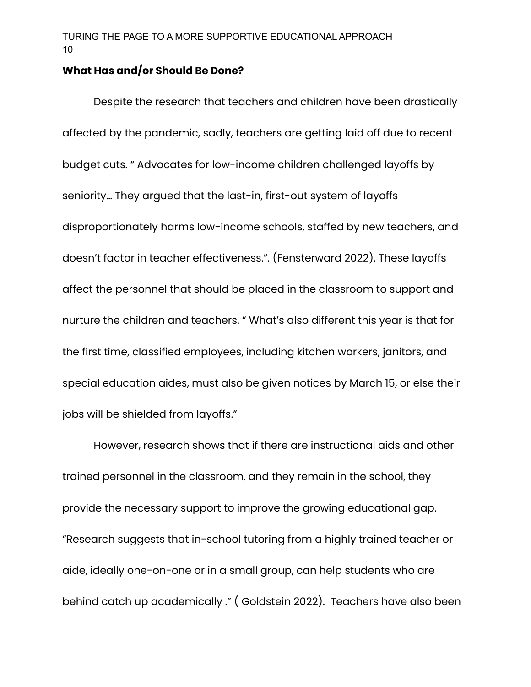## **What Has and/or Should Be Done?**

Despite the research that teachers and children have been drastically affected by the pandemic, sadly, teachers are getting laid off due to recent budget cuts. " Advocates for low-income children challenged layoffs by seniority… They argued that the last-in, first-out system of layoffs disproportionately harms low-income schools, staffed by new teachers, and doesn't factor in teacher effectiveness.". (Fensterward 2022). These layoffs affect the personnel that should be placed in the classroom to support and nurture the children and teachers. " What's also different this year is that for the first time, classified employees, including kitchen workers, janitors, and special education aides, must also be given notices by March 15, or else their jobs will be shielded from layoffs."

However, research shows that if there are instructional aids and other trained personnel in the classroom, and they remain in the school, they provide the necessary support to improve the growing educational gap. "Research suggests that in-school tutoring from a highly trained teacher or aide, ideally one-on-one or in a small group, can help students who are behind catch up academically ." ( Goldstein 2022). Teachers have also been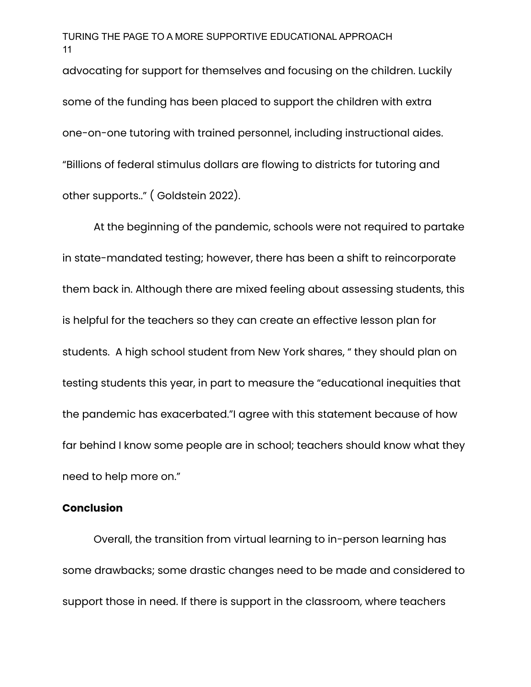advocating for support for themselves and focusing on the children. Luckily some of the funding has been placed to support the children with extra one-on-one tutoring with trained personnel, including instructional aides. "Billions of federal stimulus dollars are flowing to districts for tutoring and other supports.." ( Goldstein 2022).

At the beginning of the pandemic, schools were not required to partake in state-mandated testing; however, there has been a shift to reincorporate them back in. Although there are mixed feeling about assessing students, this is helpful for the teachers so they can create an effective lesson plan for students. A high school student from New York shares, " they should plan on testing students this year, in part to measure the "educational inequities that the pandemic has exacerbated."I agree with this statement because of how far behind I know some people are in school; teachers should know what they need to help more on."

#### **Conclusion**

Overall, the transition from virtual learning to in-person learning has some drawbacks; some drastic changes need to be made and considered to support those in need. If there is support in the classroom, where teachers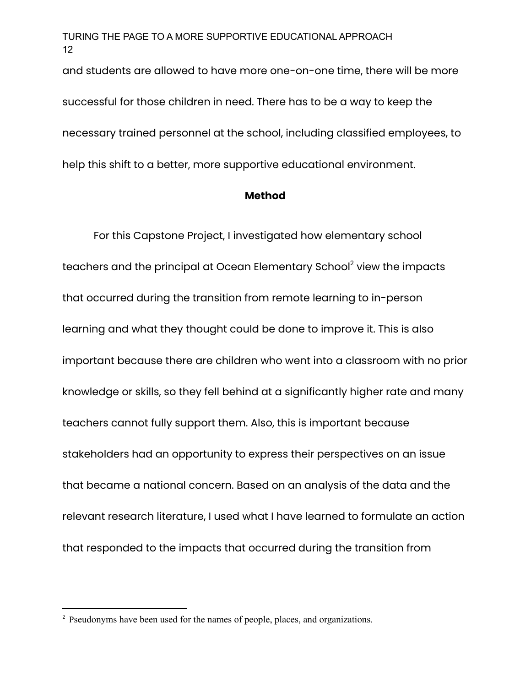and students are allowed to have more one-on-one time, there will be more successful for those children in need. There has to be a way to keep the necessary trained personnel at the school, including classified employees, to help this shift to a better, more supportive educational environment.

#### **Method**

For this Capstone Project, I investigated how elementary school teachers and the principal at Ocean Elementary School<sup>2</sup> view the impacts that occurred during the transition from remote learning to in-person learning and what they thought could be done to improve it. This is also important because there are children who went into a classroom with no prior knowledge or skills, so they fell behind at a significantly higher rate and many teachers cannot fully support them. Also, this is important because stakeholders had an opportunity to express their perspectives on an issue that became a national concern. Based on an analysis of the data and the relevant research literature, I used what I have learned to formulate an action that responded to the impacts that occurred during the transition from

<sup>&</sup>lt;sup>2</sup> Pseudonyms have been used for the names of people, places, and organizations.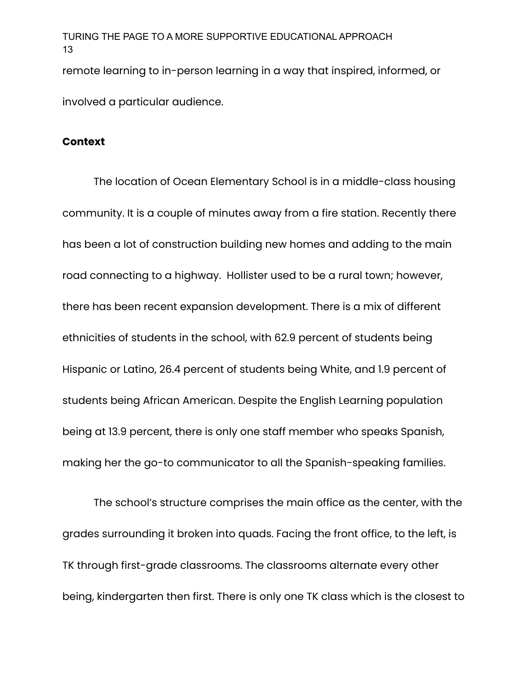remote learning to in-person learning in a way that inspired, informed, or involved a particular audience.

#### **Context**

The location of Ocean Elementary School is in a middle-class housing community. It is a couple of minutes away from a fire station. Recently there has been a lot of construction building new homes and adding to the main road connecting to a highway. Hollister used to be a rural town; however, there has been recent expansion development. There is a mix of different ethnicities of students in the school, with 62.9 percent of students being Hispanic or Latino, 26.4 percent of students being White, and 1.9 percent of students being African American. Despite the English Learning population being at 13.9 percent, there is only one staff member who speaks Spanish, making her the go-to communicator to all the Spanish-speaking families.

The school's structure comprises the main office as the center, with the grades surrounding it broken into quads. Facing the front office, to the left, is TK through first-grade classrooms. The classrooms alternate every other being, kindergarten then first. There is only one TK class which is the closest to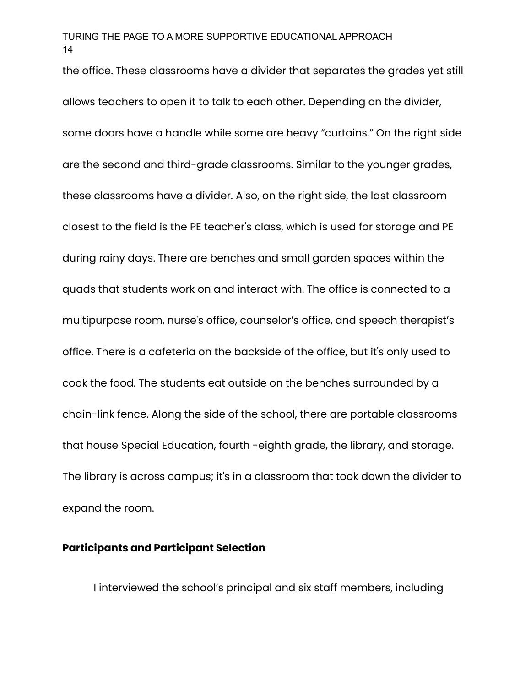the office. These classrooms have a divider that separates the grades yet still allows teachers to open it to talk to each other. Depending on the divider, some doors have a handle while some are heavy "curtains." On the right side are the second and third-grade classrooms. Similar to the younger grades, these classrooms have a divider. Also, on the right side, the last classroom closest to the field is the PE teacher's class, which is used for storage and PE during rainy days. There are benches and small garden spaces within the quads that students work on and interact with. The office is connected to a multipurpose room, nurse's office, counselor's office, and speech therapist's office. There is a cafeteria on the backside of the office, but it's only used to cook the food. The students eat outside on the benches surrounded by a chain-link fence. Along the side of the school, there are portable classrooms that house Special Education, fourth -eighth grade, the library, and storage. The library is across campus; it's in a classroom that took down the divider to expand the room.

#### **Participants and Participant Selection**

I interviewed the school's principal and six staff members, including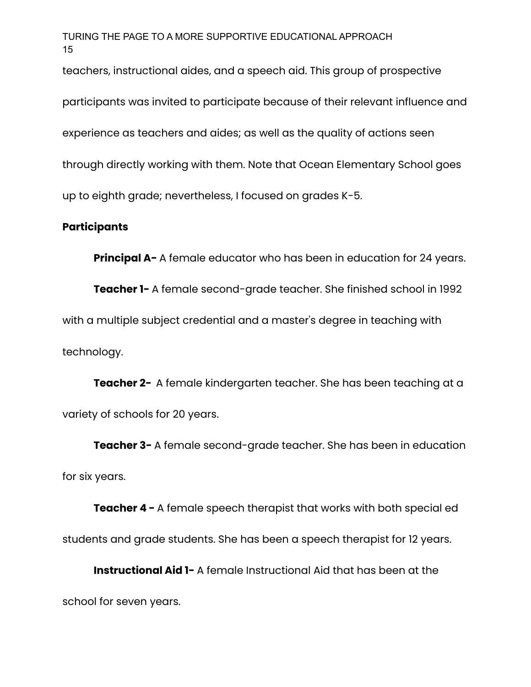teachers, instructional aides, and a speech aid. This group of prospective

participants was invited to participate because of their relevant influence and experience as teachers and aides; as well as the quality of actions seen through directly working with them. Note that Ocean Elementary School goes up to eighth grade; nevertheless, I focused on grades K-5.

## **Participants**

**Principal A-** A female educator who has been in education for 24 years.

**Teacher 1-** A female second-grade teacher. She finished school in 1992 with a multiple subject credential and a master's degree in teaching with technology.

**Teacher 2-** A female kindergarten teacher. She has been teaching at a variety of schools for 20 years.

**Teacher 3-** A female second-grade teacher. She has been in education for six years.

**Teacher 4 -** A female speech therapist that works with both special ed students and grade students. She has been a speech therapist for 12 years.

**Instructional Aid 1-** A female Instructional Aid that has been at the school for seven years.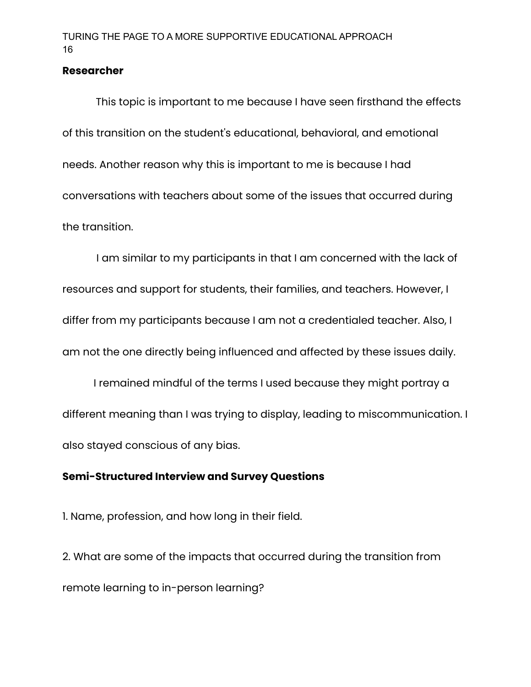#### **Researcher**

This topic is important to me because I have seen firsthand the effects of this transition on the student's educational, behavioral, and emotional needs. Another reason why this is important to me is because I had conversations with teachers about some of the issues that occurred during the transition.

I am similar to my participants in that I am concerned with the lack of resources and support for students, their families, and teachers. However, I differ from my participants because I am not a credentialed teacher. Also, I am not the one directly being influenced and affected by these issues daily.

I remained mindful of the terms I used because they might portray a different meaning than I was trying to display, leading to miscommunication. I also stayed conscious of any bias.

## **Semi-Structured Interview and Survey Questions**

1. Name, profession, and how long in their field.

2. What are some of the impacts that occurred during the transition from remote learning to in-person learning?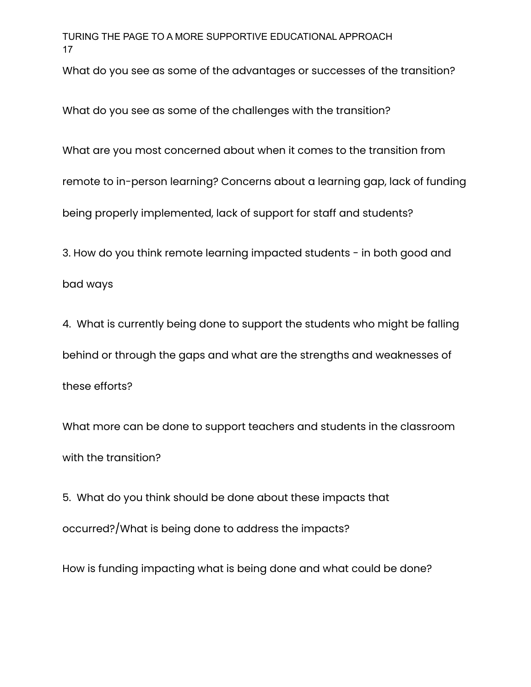What do you see as some of the advantages or successes of the transition?

What do you see as some of the challenges with the transition?

What are you most concerned about when it comes to the transition from

remote to in-person learning? Concerns about a learning gap, lack of funding

being properly implemented, lack of support for staff and students?

3. How do you think remote learning impacted students - in both good and

bad ways

4. What is currently being done to support the students who might be falling behind or through the gaps and what are the strengths and weaknesses of these efforts?

What more can be done to support teachers and students in the classroom with the transition?

5. What do you think should be done about these impacts that occurred?/What is being done to address the impacts?

How is funding impacting what is being done and what could be done?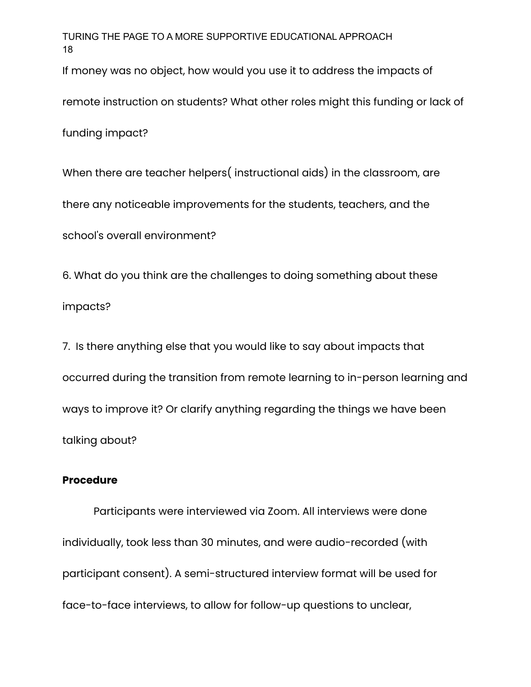If money was no object, how would you use it to address the impacts of

remote instruction on students? What other roles might this funding or lack of

funding impact?

When there are teacher helpers( instructional aids) in the classroom, are there any noticeable improvements for the students, teachers, and the school's overall environment?

6. What do you think are the challenges to doing something about these impacts?

7. Is there anything else that you would like to say about impacts that occurred during the transition from remote learning to in-person learning and ways to improve it? Or clarify anything regarding the things we have been talking about?

#### **Procedure**

Participants were interviewed via Zoom. All interviews were done individually, took less than 30 minutes, and were audio-recorded (with participant consent). A semi-structured interview format will be used for face-to-face interviews, to allow for follow-up questions to unclear,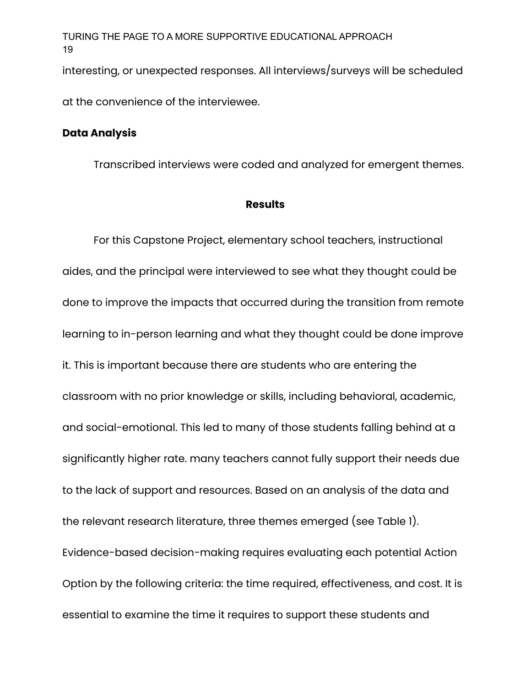interesting, or unexpected responses. All interviews/surveys will be scheduled

at the convenience of the interviewee.

#### **Data Analysis**

Transcribed interviews were coded and analyzed for emergent themes.

#### **Results**

For this Capstone Project, elementary school teachers, instructional aides, and the principal were interviewed to see what they thought could be done to improve the impacts that occurred during the transition from remote learning to in-person learning and what they thought could be done improve it. This is important because there are students who are entering the classroom with no prior knowledge or skills, including behavioral, academic, and social-emotional. This led to many of those students falling behind at a significantly higher rate. many teachers cannot fully support their needs due to the lack of support and resources. Based on an analysis of the data and the relevant research literature, three themes emerged (see Table 1). Evidence-based decision-making requires evaluating each potential Action Option by the following criteria: the time required, effectiveness, and cost. It is essential to examine the time it requires to support these students and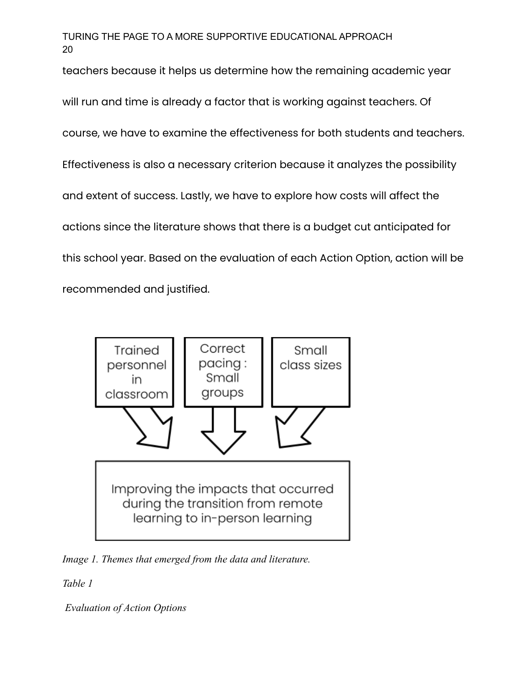teachers because it helps us determine how the remaining academic year

will run and time is already a factor that is working against teachers. Of course, we have to examine the effectiveness for both students and teachers. Effectiveness is also a necessary criterion because it analyzes the possibility and extent of success. Lastly, we have to explore how costs will affect the actions since the literature shows that there is a budget cut anticipated for this school year. Based on the evaluation of each Action Option, action will be recommended and justified.



*Image 1. Themes that emerged from the data and literature.*

*Table 1*

*Evaluation of Action Options*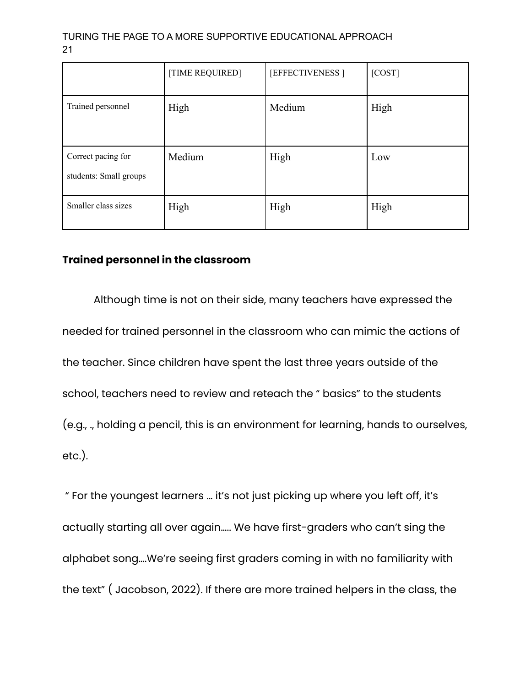|                                              | [TIME REQUIRED] | [EFFECTIVENESS] | [COST] |
|----------------------------------------------|-----------------|-----------------|--------|
| Trained personnel                            | High            | Medium          | High   |
| Correct pacing for<br>students: Small groups | Medium          | High            | Low    |
| Smaller class sizes                          | High            | High            | High   |

## **Trained personnel in the classroom**

Although time is not on their side, many teachers have expressed the needed for trained personnel in the classroom who can mimic the actions of the teacher. Since children have spent the last three years outside of the school, teachers need to review and reteach the " basics" to the students (e.g., ., holding a pencil, this is an environment for learning, hands to ourselves, etc.).

" For the youngest learners … it's not just picking up where you left off, it's actually starting all over again….. We have first-graders who can't sing the alphabet song….We're seeing first graders coming in with no familiarity with the text" ( Jacobson, 2022). If there are more trained helpers in the class, the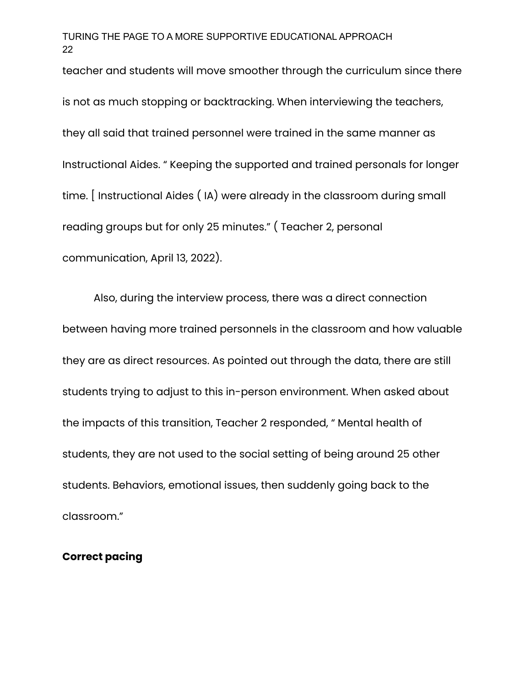teacher and students will move smoother through the curriculum since there is not as much stopping or backtracking. When interviewing the teachers, they all said that trained personnel were trained in the same manner as Instructional Aides. " Keeping the supported and trained personals for longer time. [ Instructional Aides ( IA) were already in the classroom during small reading groups but for only 25 minutes." ( Teacher 2, personal communication, April 13, 2022).

Also, during the interview process, there was a direct connection between having more trained personnels in the classroom and how valuable they are as direct resources. As pointed out through the data, there are still students trying to adjust to this in-person environment. When asked about the impacts of this transition, Teacher 2 responded, " Mental health of students, they are not used to the social setting of being around 25 other students. Behaviors, emotional issues, then suddenly going back to the classroom."

## **Correct pacing**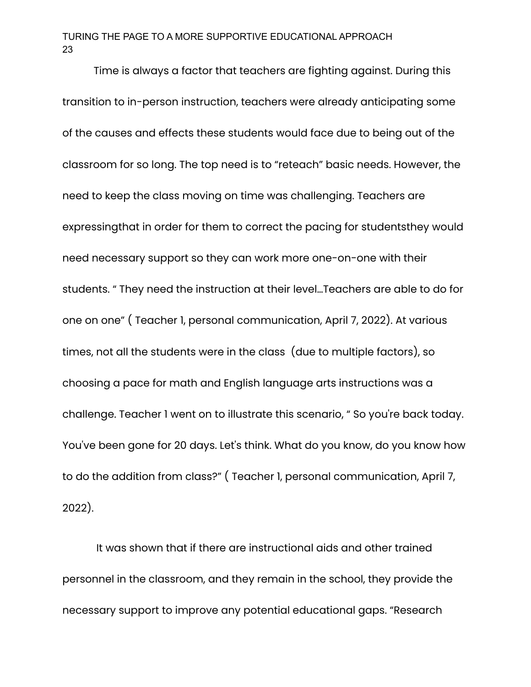Time is always a factor that teachers are fighting against. During this transition to in-person instruction, teachers were already anticipating some of the causes and effects these students would face due to being out of the classroom for so long. The top need is to "reteach" basic needs. However, the need to keep the class moving on time was challenging. Teachers are expressingthat in order for them to correct the pacing for studentsthey would need necessary support so they can work more one-on-one with their students. " They need the instruction at their level…Teachers are able to do for one on one" ( Teacher 1, personal communication, April 7, 2022). At various times, not all the students were in the class (due to multiple factors), so choosing a pace for math and English language arts instructions was a challenge. Teacher 1 went on to illustrate this scenario, " So you're back today. You've been gone for 20 days. Let's think. What do you know, do you know how to do the addition from class?" ( Teacher 1, personal communication, April 7, 2022).

It was shown that if there are instructional aids and other trained personnel in the classroom, and they remain in the school, they provide the necessary support to improve any potential educational gaps. "Research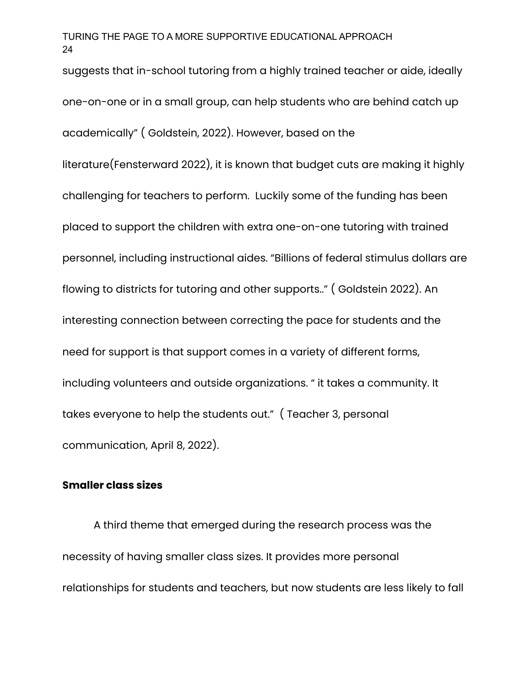suggests that in-school tutoring from a highly trained teacher or aide, ideally one-on-one or in a small group, can help students who are behind catch up academically" ( Goldstein, 2022). However, based on the literature(Fensterward 2022), it is known that budget cuts are making it highly challenging for teachers to perform. Luckily some of the funding has been placed to support the children with extra one-on-one tutoring with trained personnel, including instructional aides. "Billions of federal stimulus dollars are flowing to districts for tutoring and other supports.." ( Goldstein 2022). An interesting connection between correcting the pace for students and the need for support is that support comes in a variety of different forms, including volunteers and outside organizations. " it takes a community. It takes everyone to help the students out." ( Teacher 3, personal communication, April 8, 2022).

## **Smaller class sizes**

A third theme that emerged during the research process was the necessity of having smaller class sizes. It provides more personal relationships for students and teachers, but now students are less likely to fall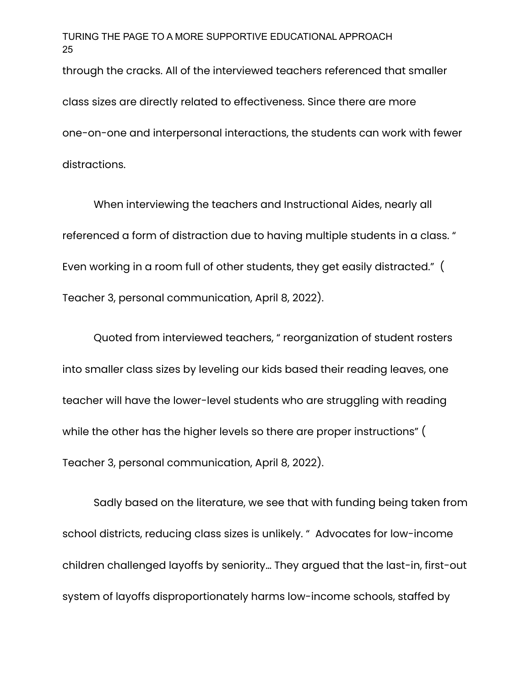through the cracks. All of the interviewed teachers referenced that smaller class sizes are directly related to effectiveness. Since there are more one-on-one and interpersonal interactions, the students can work with fewer distractions.

When interviewing the teachers and Instructional Aides, nearly all referenced a form of distraction due to having multiple students in a class. " Even working in a room full of other students, they get easily distracted." ( Teacher 3, personal communication, April 8, 2022).

Quoted from interviewed teachers, " reorganization of student rosters into smaller class sizes by leveling our kids based their reading leaves, one teacher will have the lower-level students who are struggling with reading while the other has the higher levels so there are proper instructions" ( Teacher 3, personal communication, April 8, 2022).

Sadly based on the literature, we see that with funding being taken from school districts, reducing class sizes is unlikely. " Advocates for low-income children challenged layoffs by seniority… They argued that the last-in, first-out system of layoffs disproportionately harms low-income schools, staffed by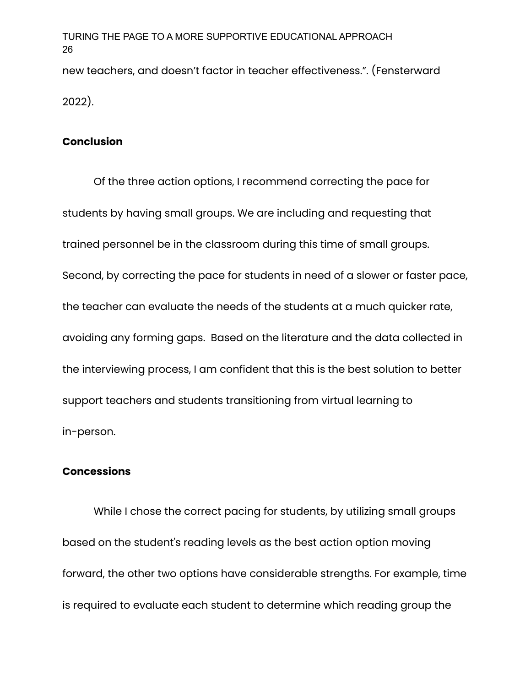new teachers, and doesn't factor in teacher effectiveness.". (Fensterward 2022).

## **Conclusion**

Of the three action options, I recommend correcting the pace for students by having small groups. We are including and requesting that trained personnel be in the classroom during this time of small groups. Second, by correcting the pace for students in need of a slower or faster pace, the teacher can evaluate the needs of the students at a much quicker rate, avoiding any forming gaps. Based on the literature and the data collected in the interviewing process, I am confident that this is the best solution to better support teachers and students transitioning from virtual learning to in-person.

## **Concessions**

While I chose the correct pacing for students, by utilizing small groups based on the student's reading levels as the best action option moving forward, the other two options have considerable strengths. For example, time is required to evaluate each student to determine which reading group the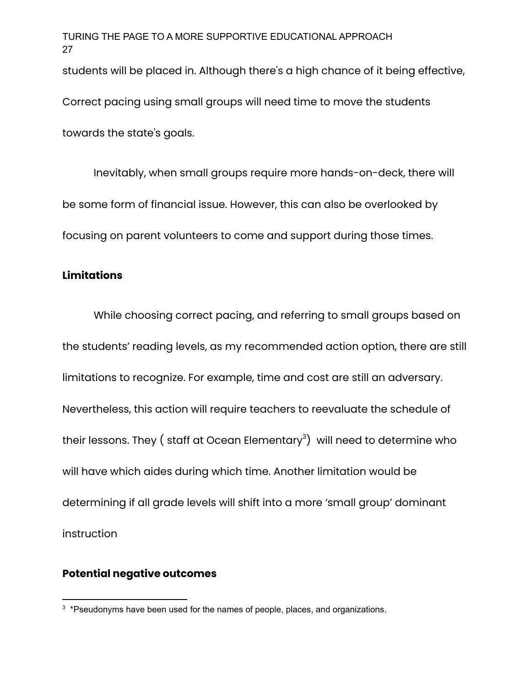students will be placed in. Although there's a high chance of it being effective,

Correct pacing using small groups will need time to move the students

towards the state's goals.

Inevitably, when small groups require more hands-on-deck, there will be some form of financial issue. However, this can also be overlooked by focusing on parent volunteers to come and support during those times.

## **Limitations**

While choosing correct pacing, and referring to small groups based on the students' reading levels, as my recommended action option, there are still limitations to recognize. For example, time and cost are still an adversary. Nevertheless, this action will require teachers to reevaluate the schedule of their lessons. They ( staff at Ocean Elementary $^3) \,$  will need to determine who will have which aides during which time. Another limitation would be determining if all grade levels will shift into a more 'small group' dominant instruction

## **Potential negative outcomes**

<sup>&</sup>lt;sup>3</sup> \*Pseudonyms have been used for the names of people, places, and organizations.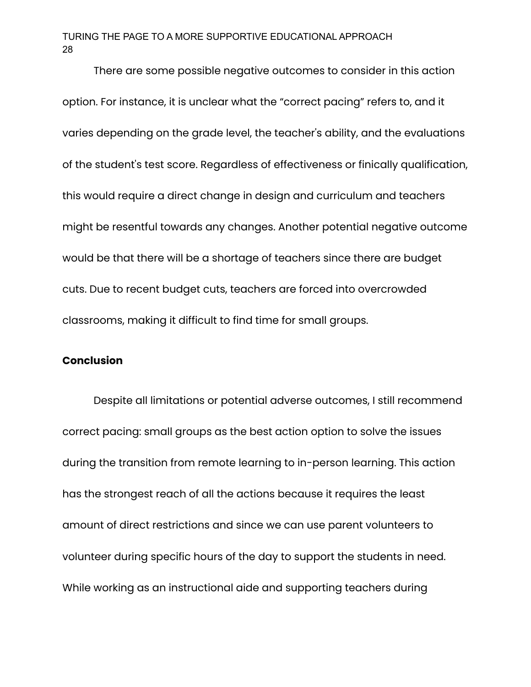There are some possible negative outcomes to consider in this action option. For instance, it is unclear what the "correct pacing" refers to, and it varies depending on the grade level, the teacher's ability, and the evaluations of the student's test score. Regardless of effectiveness or finically qualification, this would require a direct change in design and curriculum and teachers might be resentful towards any changes. Another potential negative outcome would be that there will be a shortage of teachers since there are budget cuts. Due to recent budget cuts, teachers are forced into overcrowded classrooms, making it difficult to find time for small groups.

#### **Conclusion**

Despite all limitations or potential adverse outcomes, I still recommend correct pacing: small groups as the best action option to solve the issues during the transition from remote learning to in-person learning. This action has the strongest reach of all the actions because it requires the least amount of direct restrictions and since we can use parent volunteers to volunteer during specific hours of the day to support the students in need. While working as an instructional aide and supporting teachers during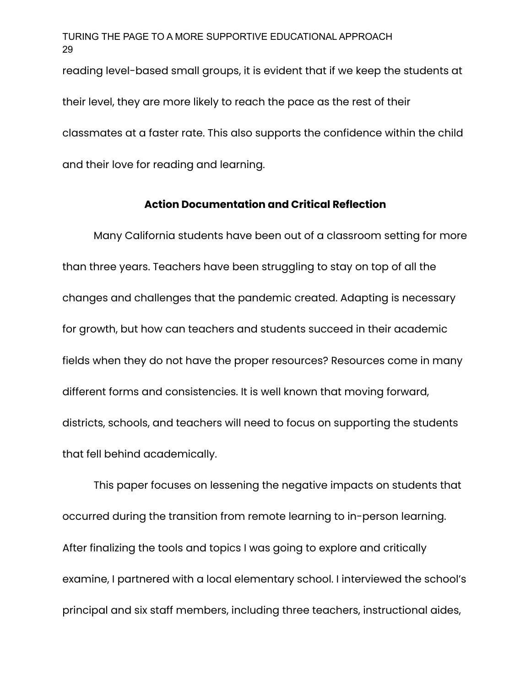reading level-based small groups, it is evident that if we keep the students at their level, they are more likely to reach the pace as the rest of their classmates at a faster rate. This also supports the confidence within the child and their love for reading and learning.

#### **Action Documentation and Critical Reflection**

Many California students have been out of a classroom setting for more than three years. Teachers have been struggling to stay on top of all the changes and challenges that the pandemic created. Adapting is necessary for growth, but how can teachers and students succeed in their academic fields when they do not have the proper resources? Resources come in many different forms and consistencies. It is well known that moving forward, districts, schools, and teachers will need to focus on supporting the students that fell behind academically.

This paper focuses on lessening the negative impacts on students that occurred during the transition from remote learning to in-person learning. After finalizing the tools and topics I was going to explore and critically examine, I partnered with a local elementary school. I interviewed the school's principal and six staff members, including three teachers, instructional aides,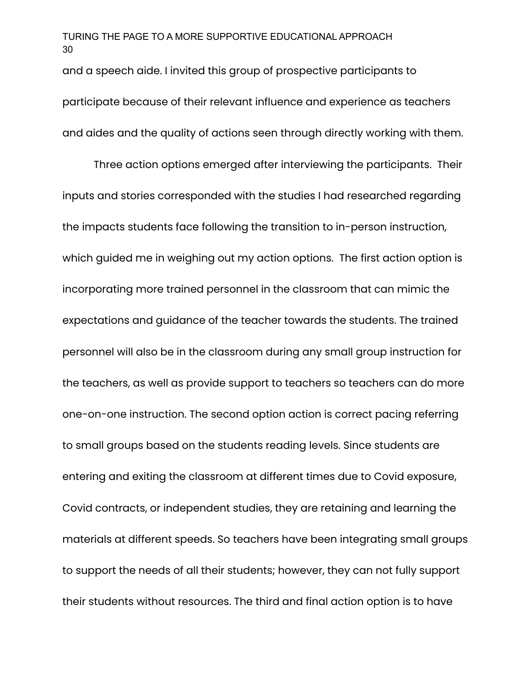and a speech aide. I invited this group of prospective participants to participate because of their relevant influence and experience as teachers and aides and the quality of actions seen through directly working with them.

Three action options emerged after interviewing the participants. Their inputs and stories corresponded with the studies I had researched regarding the impacts students face following the transition to in-person instruction, which guided me in weighing out my action options. The first action option is incorporating more trained personnel in the classroom that can mimic the expectations and guidance of the teacher towards the students. The trained personnel will also be in the classroom during any small group instruction for the teachers, as well as provide support to teachers so teachers can do more one-on-one instruction. The second option action is correct pacing referring to small groups based on the students reading levels. Since students are entering and exiting the classroom at different times due to Covid exposure, Covid contracts, or independent studies, they are retaining and learning the materials at different speeds. So teachers have been integrating small groups to support the needs of all their students; however, they can not fully support their students without resources. The third and final action option is to have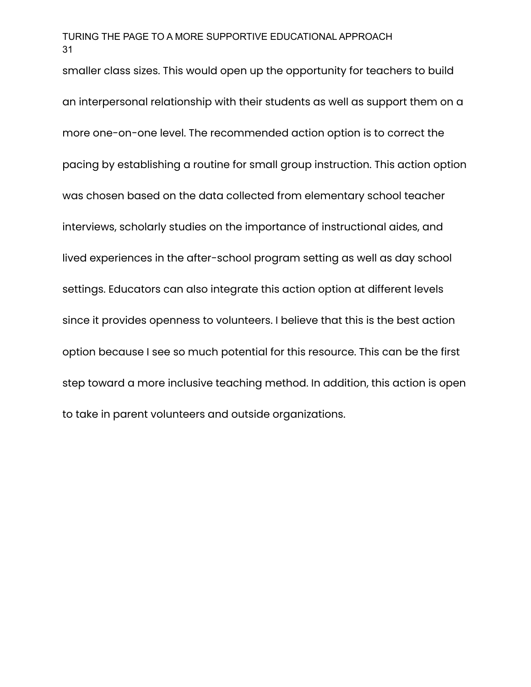smaller class sizes. This would open up the opportunity for teachers to build an interpersonal relationship with their students as well as support them on a more one-on-one level. The recommended action option is to correct the pacing by establishing a routine for small group instruction. This action option was chosen based on the data collected from elementary school teacher interviews, scholarly studies on the importance of instructional aides, and lived experiences in the after-school program setting as well as day school settings. Educators can also integrate this action option at different levels since it provides openness to volunteers. I believe that this is the best action option because I see so much potential for this resource. This can be the first step toward a more inclusive teaching method. In addition, this action is open to take in parent volunteers and outside organizations.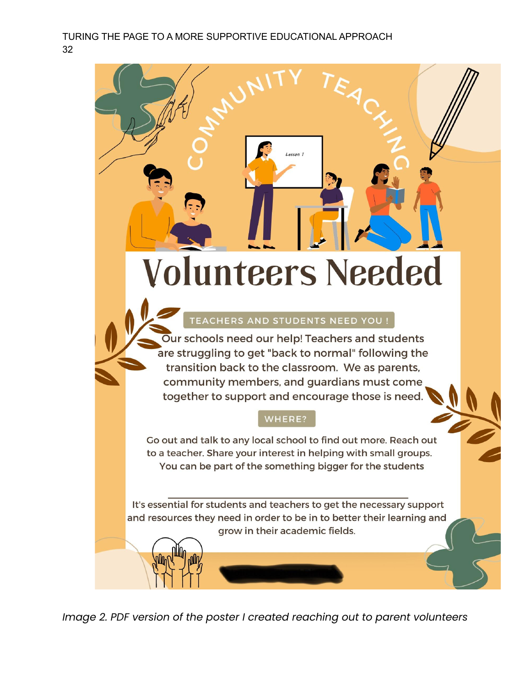# **Volunteers Needed**

Lesson 1

# **TEACHERS AND STUDENTS NEED YOU !**

Our schools need our help! Teachers and students are struggling to get "back to normal" following the transition back to the classroom. We as parents, community members, and guardians must come together to support and encourage those is need.

## WHERE?

Go out and talk to any local school to find out more. Reach out to a teacher. Share your interest in helping with small groups. You can be part of the something bigger for the students

It's essential for students and teachers to get the necessary support and resources they need in order to be in to better their learning and grow in their academic fields.

*Image 2. PDF version of the poster I created reaching out to parent volunteers*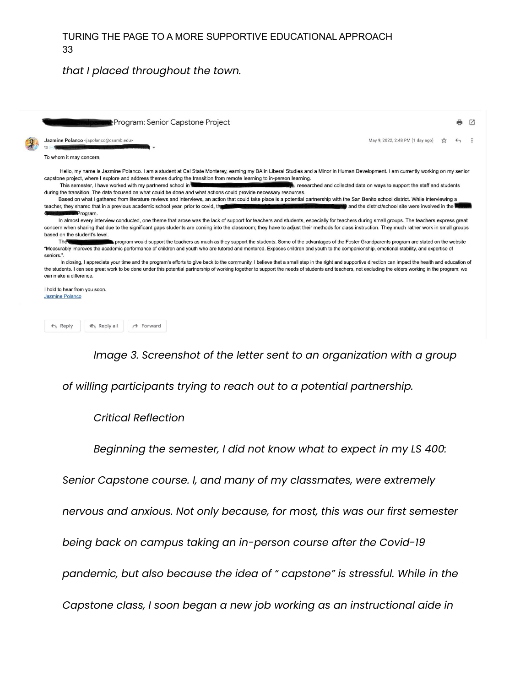#### *that I placed throughout the town.*

| ∎Program: Senior Capstone Project                                                                                                                                                                                                                                                                                                                                                                                                                                                                                                                                                                                                                                                                                                                                                                                                                                                                                                                                                                                                                                                                                                                                                                                                                                                                                                                                                                                                                                                                                                                                                                                                                                                                                                                                                                                                                                                                                                                                                                                                                                                                                                                                                                                                                                                                                                                         |                                  |  |  |  |
|-----------------------------------------------------------------------------------------------------------------------------------------------------------------------------------------------------------------------------------------------------------------------------------------------------------------------------------------------------------------------------------------------------------------------------------------------------------------------------------------------------------------------------------------------------------------------------------------------------------------------------------------------------------------------------------------------------------------------------------------------------------------------------------------------------------------------------------------------------------------------------------------------------------------------------------------------------------------------------------------------------------------------------------------------------------------------------------------------------------------------------------------------------------------------------------------------------------------------------------------------------------------------------------------------------------------------------------------------------------------------------------------------------------------------------------------------------------------------------------------------------------------------------------------------------------------------------------------------------------------------------------------------------------------------------------------------------------------------------------------------------------------------------------------------------------------------------------------------------------------------------------------------------------------------------------------------------------------------------------------------------------------------------------------------------------------------------------------------------------------------------------------------------------------------------------------------------------------------------------------------------------------------------------------------------------------------------------------------------------|----------------------------------|--|--|--|
| Jazmine Polanco <japolanco@csumb.edu></japolanco@csumb.edu>                                                                                                                                                                                                                                                                                                                                                                                                                                                                                                                                                                                                                                                                                                                                                                                                                                                                                                                                                                                                                                                                                                                                                                                                                                                                                                                                                                                                                                                                                                                                                                                                                                                                                                                                                                                                                                                                                                                                                                                                                                                                                                                                                                                                                                                                                               | May 9, 2022, 2:48 PM (1 day ago) |  |  |  |
| To whom it may concern,                                                                                                                                                                                                                                                                                                                                                                                                                                                                                                                                                                                                                                                                                                                                                                                                                                                                                                                                                                                                                                                                                                                                                                                                                                                                                                                                                                                                                                                                                                                                                                                                                                                                                                                                                                                                                                                                                                                                                                                                                                                                                                                                                                                                                                                                                                                                   |                                  |  |  |  |
| Hello, my name is Jazmine Polanco. I am a student at Cal State Monterey, earning my BA in Liberal Studies and a Minor in Human Development. I am currently working on my senior<br>capstone project, where I explore and address themes during the transition from remote learning to in-person learning.<br>This semester, I have worked with my partnered school in the modern behavior between the modern to<br>I researched and collected data on ways to support the staff and students<br>during the transition. The data focused on what could be done and what actions could provide necessary resources.<br>Based on what I gathered from literature reviews and interviews, an action that could take place is a potential partnership with the San Benito school district. While interviewing a<br>teacher, they shared that in a previous academic school year, prior to covid, the Council of Canta Cruz and Can Benito Coun<br>and the district/school site were involved in the <b>Noste</b><br>andparents Program.<br>In almost every interview conducted, one theme that arose was the lack of support for teachers and students, especially for teachers during small groups. The teachers express great<br>concern when sharing that due to the significant gaps students are coming into the classroom; they have to adjust their methods for class instruction. They much rather work in small groups<br>based on the student's level.<br>program would support the teachers as much as they support the students. Some of the advantages of the Foster Grandparents program are stated on the website<br><b>The</b><br>"Measurably improves the academic performance of children and youth who are tutored and mentored. Exposes children and youth to the companionship, emotional stability, and expertise of<br>seniors.".<br>In closing, I appreciate your time and the program's efforts to give back to the community. I believe that a small step in the right and supportive direction can impact the health and education of<br>the students. I can see great work to be done under this potential partnership of working together to support the needs of students and teachers, not excluding the elders working in the program; we<br>can make a difference.<br>I hold to hear from you soon.<br><b>Jazmine Polanco</b> |                                  |  |  |  |



*Image 3. Screenshot of the letter sent to an organization with a group*

*of willing participants trying to reach out to a potential partnership.*

#### *Critical Reflection*

*Beginning the semester, I did not know what to expect in my LS 400:*

*Senior Capstone course. I, and many of my classmates, were extremely*

*nervous and anxious. Not only because, for most, this was our first semester*

*being back on campus taking an in-person course after the Covid-19*

*pandemic, but also because the idea of " capstone" is stressful. While in the*

*Capstone class, I soon began a new job working as an instructional aide in*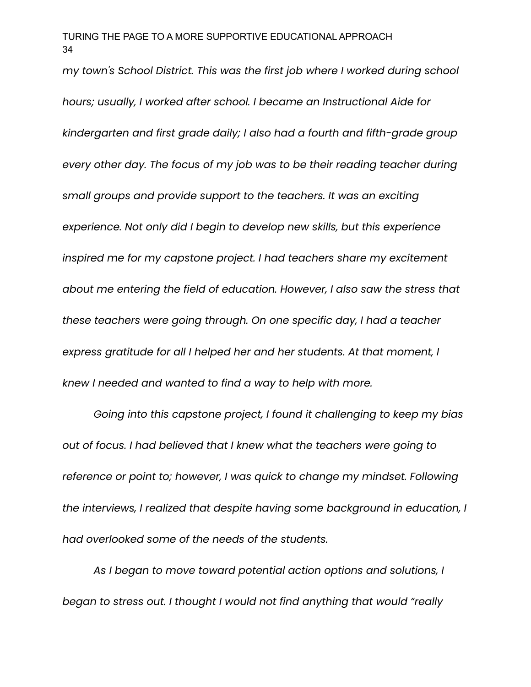*my town's School District. This was the first job where I worked during school hours; usually, I worked after school. I became an Instructional Aide for kindergarten and first grade daily; I also had a fourth and fifth-grade group every other day. The focus of my job was to be their reading teacher during small groups and provide support to the teachers. It was an exciting experience. Not only did I begin to develop new skills, but this experience inspired me for my capstone project. I had teachers share my excitement about me entering the field of education. However, I also saw the stress that these teachers were going through. On one specific day, I had a teacher express gratitude for all I helped her and her students. At that moment, I knew I needed and wanted to find a way to help with more.*

*Going into this capstone project, I found it challenging to keep my bias out of focus. I had believed that I knew what the teachers were going to reference or point to; however, I was quick to change my mindset. Following the interviews, I realized that despite having some background in education, I had overlooked some of the needs of the students.*

*As I began to move toward potential action options and solutions, I began to stress out. I thought I would not find anything that would "really*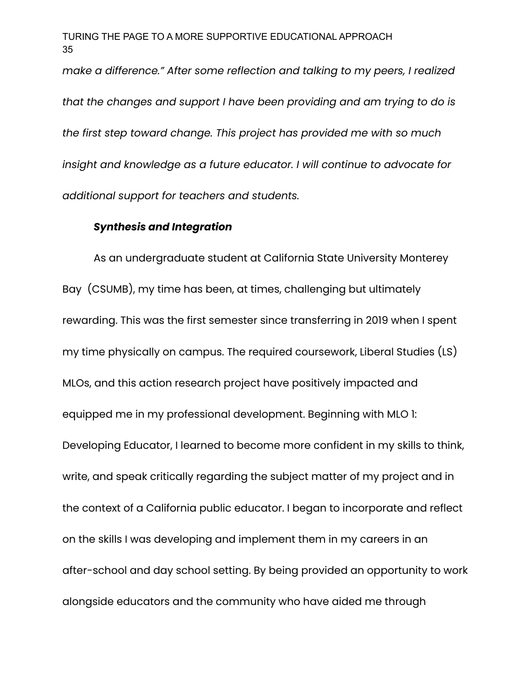*make a difference." After some reflection and talking to my peers, I realized that the changes and support I have been providing and am trying to do is the first step toward change. This project has provided me with so much insight and knowledge as a future educator. I will continue to advocate for additional support for teachers and students.*

#### *Synthesis and Integration*

As an undergraduate student at California State University Monterey Bay (CSUMB), my time has been, at times, challenging but ultimately rewarding. This was the first semester since transferring in 2019 when I spent my time physically on campus. The required coursework, Liberal Studies (LS) MLOs, and this action research project have positively impacted and equipped me in my professional development. Beginning with MLO 1: Developing Educator, I learned to become more confident in my skills to think, write, and speak critically regarding the subject matter of my project and in the context of a California public educator. I began to incorporate and reflect on the skills I was developing and implement them in my careers in an after-school and day school setting. By being provided an opportunity to work alongside educators and the community who have aided me through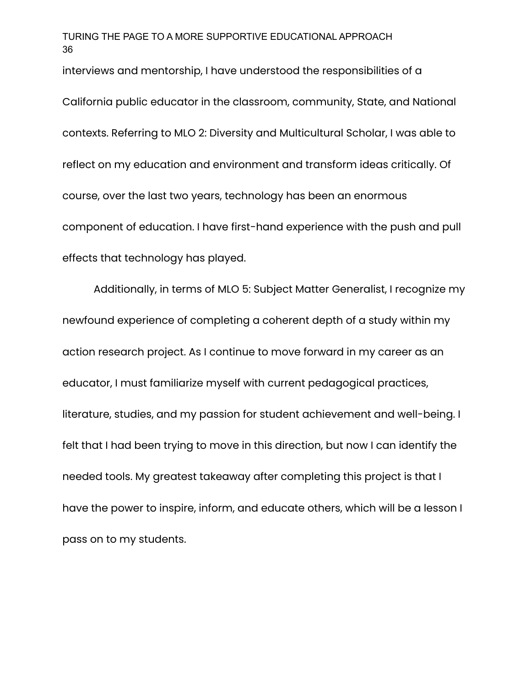interviews and mentorship, I have understood the responsibilities of a

California public educator in the classroom, community, State, and National contexts. Referring to MLO 2: Diversity and Multicultural Scholar, I was able to reflect on my education and environment and transform ideas critically. Of course, over the last two years, technology has been an enormous component of education. I have first-hand experience with the push and pull effects that technology has played.

Additionally, in terms of MLO 5: Subject Matter Generalist, I recognize my newfound experience of completing a coherent depth of a study within my action research project. As I continue to move forward in my career as an educator, I must familiarize myself with current pedagogical practices, literature, studies, and my passion for student achievement and well-being. I felt that I had been trying to move in this direction, but now I can identify the needed tools. My greatest takeaway after completing this project is that I have the power to inspire, inform, and educate others, which will be a lesson I pass on to my students.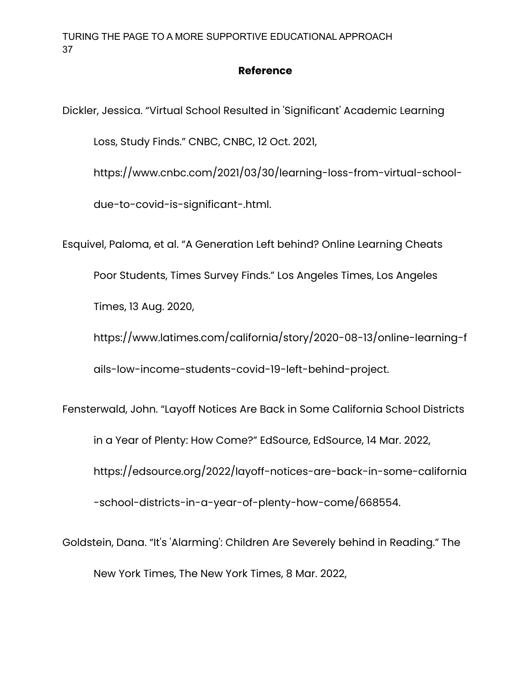## **Reference**

Dickler, Jessica. "Virtual School Resulted in 'Significant' Academic Learning

Loss, Study Finds." CNBC, CNBC, 12 Oct. 2021,

https://www.cnbc.com/2021/03/30/learning-loss-from-virtual-school-

due-to-covid-is-significant-.html.

Esquivel, Paloma, et al. "A Generation Left behind? Online Learning Cheats

Poor Students, Times Survey Finds." Los Angeles Times, Los Angeles

Times, 13 Aug. 2020,

https://www.latimes.com/california/story/2020-08-13/online-learning-f ails-low-income-students-covid-19-left-behind-project.

Fensterwald, John. "Layoff Notices Are Back in Some California School Districts in a Year of Plenty: How Come?" EdSource, EdSource, 14 Mar. 2022, https://edsource.org/2022/layoff-notices-are-back-in-some-california -school-districts-in-a-year-of-plenty-how-come/668554.

Goldstein, Dana. "It's 'Alarming': Children Are Severely behind in Reading." The New York Times, The New York Times, 8 Mar. 2022,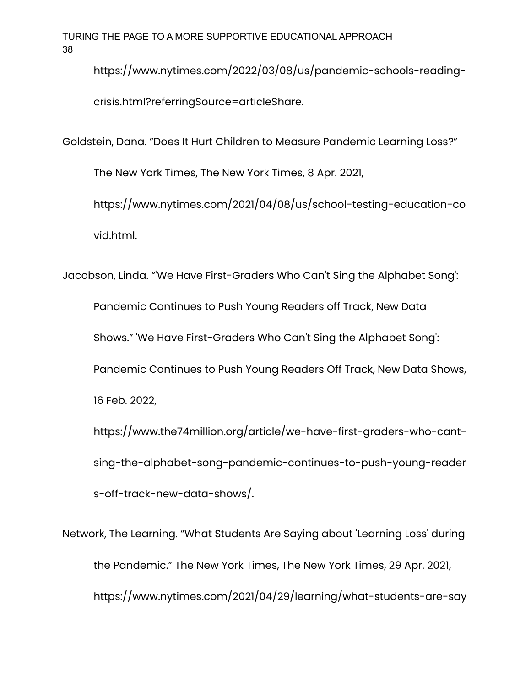https://www.nytimes.com/2022/03/08/us/pandemic-schools-readingcrisis.html?referringSource=articleShare.

Goldstein, Dana. "Does It Hurt Children to Measure Pandemic Learning Loss?"

The New York Times, The New York Times, 8 Apr. 2021,

https://www.nytimes.com/2021/04/08/us/school-testing-education-co vid.html.

Jacobson, Linda. "'We Have First-Graders Who Can't Sing the Alphabet Song':

Pandemic Continues to Push Young Readers off Track, New Data Shows." 'We Have First-Graders Who Can't Sing the Alphabet Song': Pandemic Continues to Push Young Readers Off Track, New Data Shows, 16 Feb. 2022,

https://www.the74million.org/article/we-have-first-graders-who-cantsing-the-alphabet-song-pandemic-continues-to-push-young-reader s-off-track-new-data-shows/.

Network, The Learning. "What Students Are Saying about 'Learning Loss' during the Pandemic." The New York Times, The New York Times, 29 Apr. 2021, https://www.nytimes.com/2021/04/29/learning/what-students-are-say